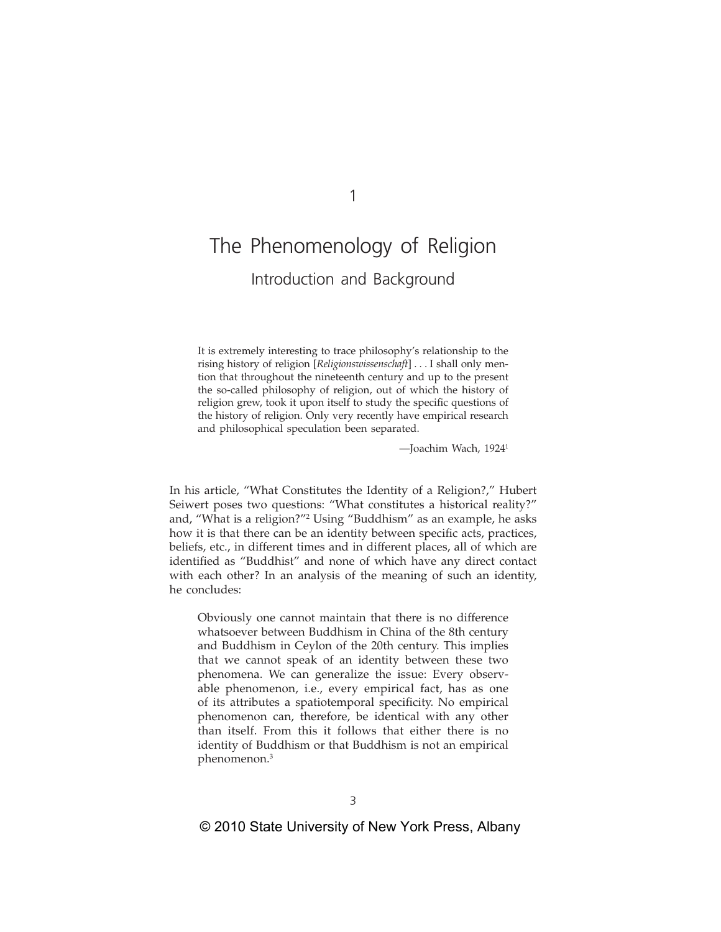# The Phenomenology of Religion Introduction and Background

It is extremely interesting to trace philosophy's relationship to the rising history of religion [*Religionswissenschaft*] . . . I shall only mention that throughout the nineteenth century and up to the present the so-called philosophy of religion, out of which the history of religion grew, took it upon itself to study the specific questions of the history of religion. Only very recently have empirical research and philosophical speculation been separated.

—Joachim Wach, 19241

In his article, "What Constitutes the Identity of a Religion?," Hubert Seiwert poses two questions: "What constitutes a historical reality?" and, "What is a religion?"2 Using "Buddhism" as an example, he asks how it is that there can be an identity between specific acts, practices, beliefs, etc., in different times and in different places, all of which are identified as "Buddhist" and none of which have any direct contact with each other? In an analysis of the meaning of such an identity, he concludes:

Obviously one cannot maintain that there is no difference whatsoever between Buddhism in China of the 8th century and Buddhism in Ceylon of the 20th century. This implies that we cannot speak of an identity between these two phenomena. We can generalize the issue: Every observable phenomenon, i.e., every empirical fact, has as one of its attributes a spatiotemporal specificity. No empirical phenomenon can, therefore, be identical with any other than itself. From this it follows that either there is no identity of Buddhism or that Buddhism is not an empirical phenomenon.3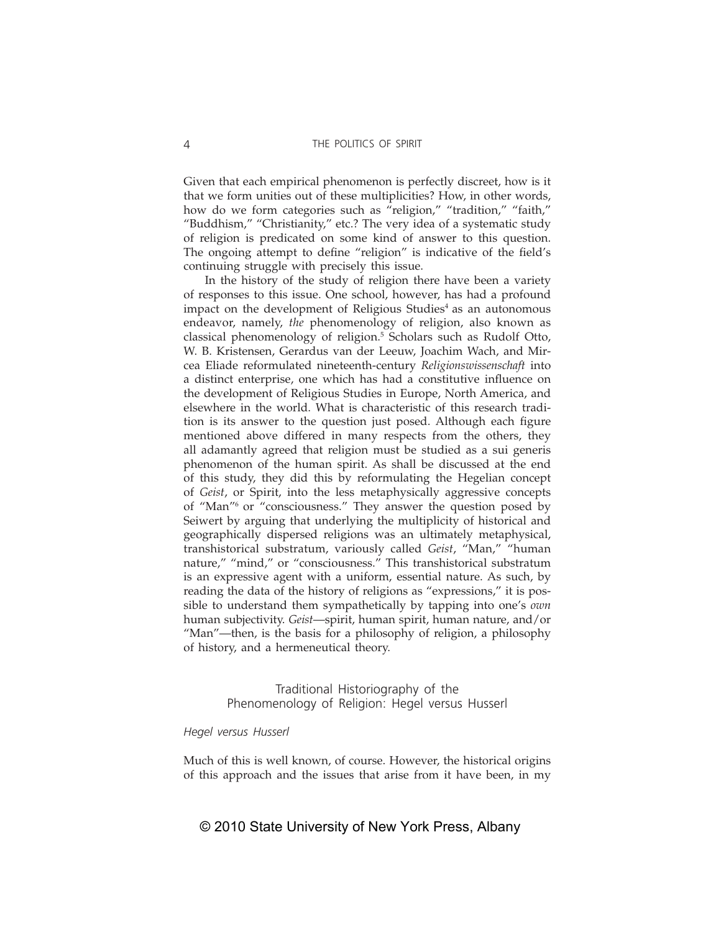Given that each empirical phenomenon is perfectly discreet, how is it that we form unities out of these multiplicities? How, in other words, how do we form categories such as "religion," "tradition," "faith," "Buddhism," "Christianity," etc.? The very idea of a systematic study of religion is predicated on some kind of answer to this question. The ongoing attempt to define "religion" is indicative of the field's continuing struggle with precisely this issue.

In the history of the study of religion there have been a variety of responses to this issue. One school, however, has had a profound impact on the development of Religious Studies<sup>4</sup> as an autonomous endeavor, namely, *the* phenomenology of religion, also known as classical phenomenology of religion.<sup>5</sup> Scholars such as Rudolf Otto, W. B. Kristensen, Gerardus van der Leeuw, Joachim Wach, and Mircea Eliade reformulated nineteenth-century *Religionswissenschaft* into a distinct enterprise, one which has had a constitutive influence on the development of Religious Studies in Europe, North America, and elsewhere in the world. What is characteristic of this research tradition is its answer to the question just posed. Although each figure mentioned above differed in many respects from the others, they all adamantly agreed that religion must be studied as a sui generis phenomenon of the human spirit. As shall be discussed at the end of this study, they did this by reformulating the Hegelian concept of *Geist*, or Spirit, into the less metaphysically aggressive concepts of "Man"6 or "consciousness." They answer the question posed by Seiwert by arguing that underlying the multiplicity of historical and geographically dispersed religions was an ultimately metaphysical, transhistorical substratum, variously called *Geist*, "Man," "human nature," "mind," or "consciousness." This transhistorical substratum is an expressive agent with a uniform, essential nature. As such, by reading the data of the history of religions as "expressions," it is possible to understand them sympathetically by tapping into one's *own* human subjectivity. *Geist*—spirit, human spirit, human nature, and/or "Man"—then, is the basis for a philosophy of religion, a philosophy of history, and a hermeneutical theory.

> Traditional Historiography of the Phenomenology of Religion: Hegel versus Husserl

# *Hegel versus Husserl*

Much of this is well known, of course. However, the historical origins of this approach and the issues that arise from it have been, in my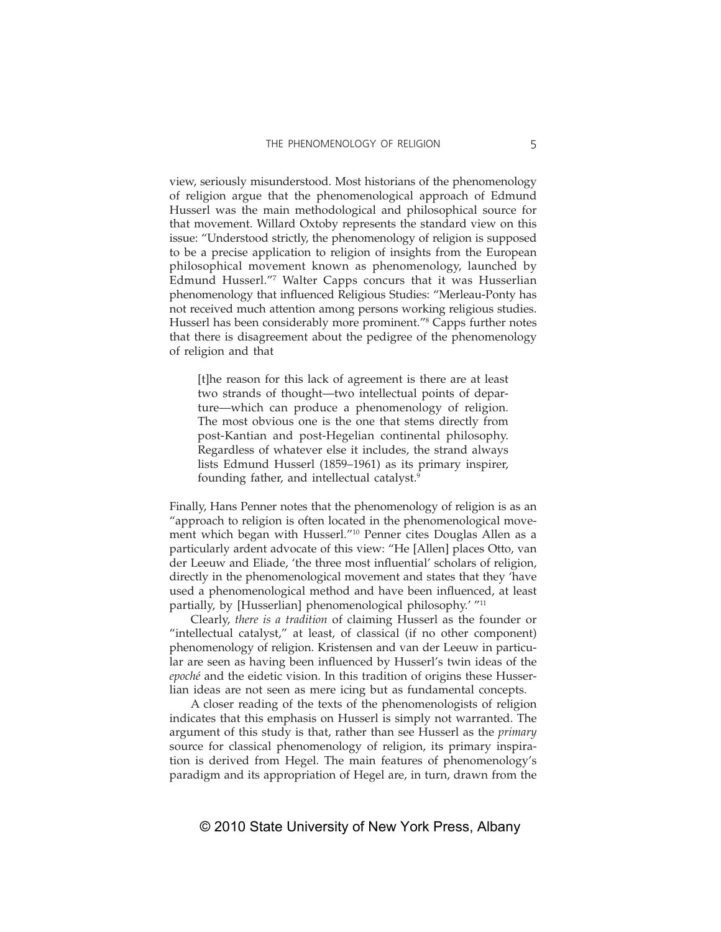view, seriously misunderstood. Most historians of the phenomenology of religion argue that the phenomenological approach of Edmund Husserl was the main methodological and philosophical source for that movement. Willard Oxtoby represents the standard view on this issue: "Understood strictly, the phenomenology of religion is supposed to be a precise application to religion of insights from the European philosophical movement known as phenomenology, launched by Edmund Husserl."7 Walter Capps concurs that it was Husserlian phenomenology that influenced Religious Studies: "Merleau-Ponty has not received much attention among persons working religious studies. Husserl has been considerably more prominent."8 Capps further notes that there is disagreement about the pedigree of the phenomenology of religion and that

[t]he reason for this lack of agreement is there are at least two strands of thought—two intellectual points of departure—which can produce a phenomenology of religion. The most obvious one is the one that stems directly from post-Kantian and post-Hegelian continental philosophy. Regardless of whatever else it includes, the strand always lists Edmund Husserl (1859–1961) as its primary inspirer, founding father, and intellectual catalyst.<sup>9</sup>

Finally, Hans Penner notes that the phenomenology of religion is as an "approach to religion is often located in the phenomenological movement which began with Husserl."10 Penner cites Douglas Allen as a particularly ardent advocate of this view: "He [Allen] places Otto, van der Leeuw and Eliade, 'the three most influential' scholars of religion, directly in the phenomenological movement and states that they 'have used a phenomenological method and have been influenced, at least partially, by [Husserlian] phenomenological philosophy.' "<sup>11</sup>

Clearly, *there is a tradition* of claiming Husserl as the founder or "intellectual catalyst," at least, of classical (if no other component) phenomenology of religion. Kristensen and van der Leeuw in particular are seen as having been influenced by Husserl's twin ideas of the *epoché* and the eidetic vision. In this tradition of origins these Husserlian ideas are not seen as mere icing but as fundamental concepts.

A closer reading of the texts of the phenomenologists of religion indicates that this emphasis on Husserl is simply not warranted. The argument of this study is that, rather than see Husserl as the *primary* source for classical phenomenology of religion, its primary inspiration is derived from Hegel. The main features of phenomenology's paradigm and its appropriation of Hegel are, in turn, drawn from the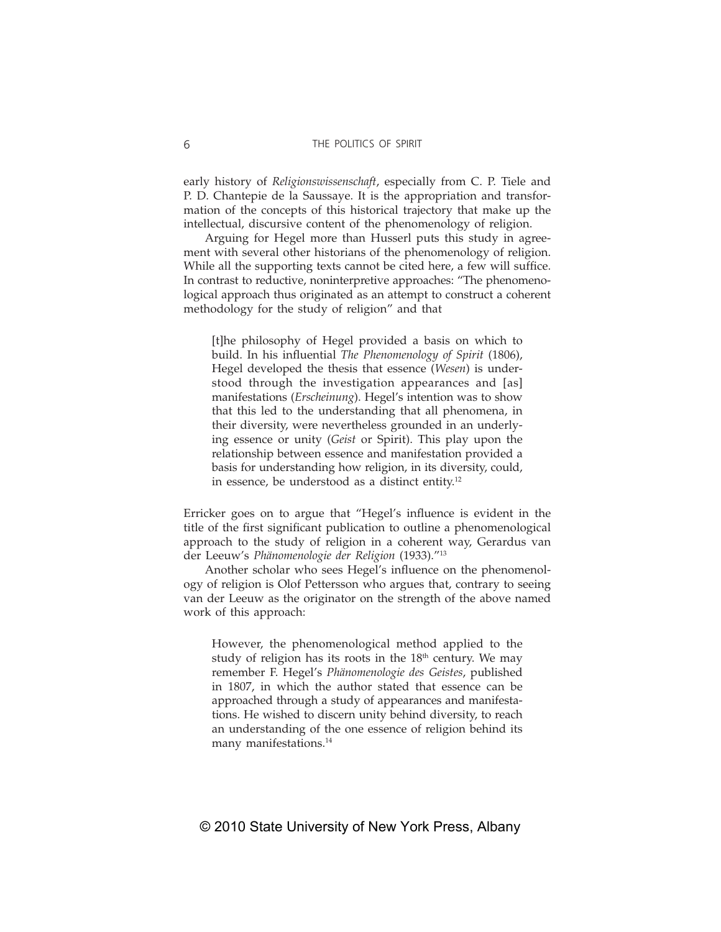early history of *Religionswissenschaft*, especially from C. P. Tiele and P. D. Chantepie de la Saussaye. It is the appropriation and transformation of the concepts of this historical trajectory that make up the intellectual, discursive content of the phenomenology of religion.

Arguing for Hegel more than Husserl puts this study in agreement with several other historians of the phenomenology of religion. While all the supporting texts cannot be cited here, a few will suffice. In contrast to reductive, noninterpretive approaches: "The phenomenological approach thus originated as an attempt to construct a coherent methodology for the study of religion" and that

[t]he philosophy of Hegel provided a basis on which to build. In his influential *The Phenomenology of Spirit* (1806), Hegel developed the thesis that essence (*Wesen*) is understood through the investigation appearances and [as] manifestations (*Erscheinung*). Hegel's intention was to show that this led to the understanding that all phenomena, in their diversity, were nevertheless grounded in an underlying essence or unity (*Geist* or Spirit). This play upon the relationship between essence and manifestation provided a basis for understanding how religion, in its diversity, could, in essence, be understood as a distinct entity. $12$ 

Erricker goes on to argue that "Hegel's influence is evident in the title of the first significant publication to outline a phenomenological approach to the study of religion in a coherent way, Gerardus van der Leeuw's *Phänomenologie der Religion* (1933)."13

Another scholar who sees Hegel's influence on the phenomenology of religion is Olof Pettersson who argues that, contrary to seeing van der Leeuw as the originator on the strength of the above named work of this approach:

However, the phenomenological method applied to the study of religion has its roots in the  $18<sup>th</sup>$  century. We may remember F. Hegel's *Phänomenologie des Geistes*, published in 1807, in which the author stated that essence can be approached through a study of appearances and manifestations. He wished to discern unity behind diversity, to reach an understanding of the one essence of religion behind its many manifestations.<sup>14</sup>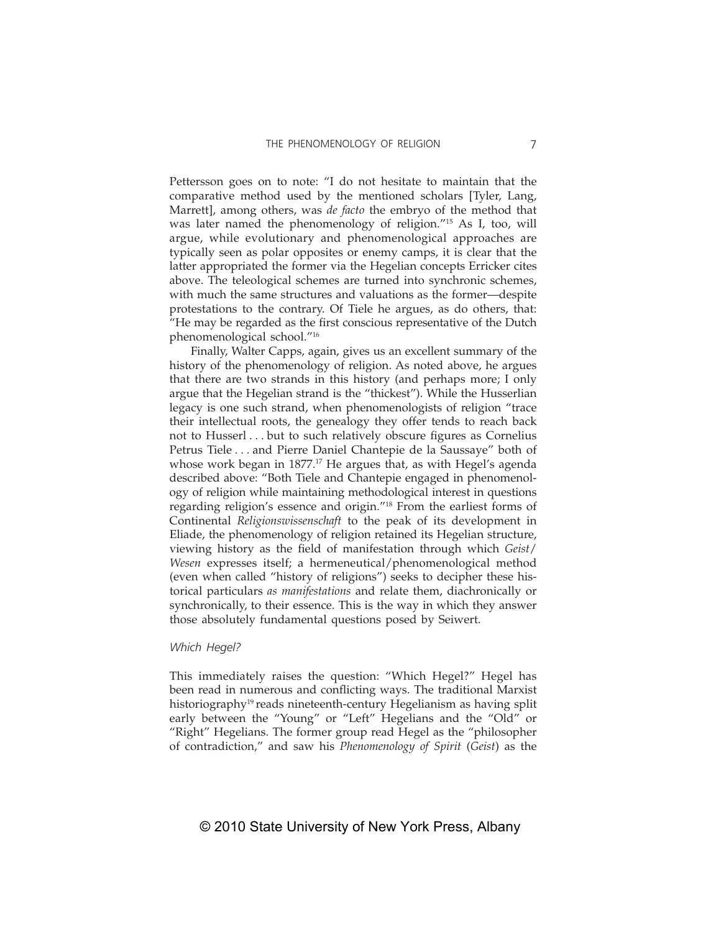Pettersson goes on to note: "I do not hesitate to maintain that the comparative method used by the mentioned scholars [Tyler, Lang, Marrett], among others, was *de facto* the embryo of the method that was later named the phenomenology of religion."15 As I, too, will argue, while evolutionary and phenomenological approaches are typically seen as polar opposites or enemy camps, it is clear that the latter appropriated the former via the Hegelian concepts Erricker cites above. The teleological schemes are turned into synchronic schemes, with much the same structures and valuations as the former—despite protestations to the contrary. Of Tiele he argues, as do others, that: "He may be regarded as the first conscious representative of the Dutch phenomenological school."16

Finally, Walter Capps, again, gives us an excellent summary of the history of the phenomenology of religion. As noted above, he argues that there are two strands in this history (and perhaps more; I only argue that the Hegelian strand is the "thickest"). While the Husserlian legacy is one such strand, when phenomenologists of religion "trace their intellectual roots, the genealogy they offer tends to reach back not to Husserl . . . but to such relatively obscure figures as Cornelius Petrus Tiele . . . and Pierre Daniel Chantepie de la Saussaye" both of whose work began in  $1877<sup>17</sup>$  He argues that, as with Hegel's agenda described above: "Both Tiele and Chantepie engaged in phenomenology of religion while maintaining methodological interest in questions regarding religion's essence and origin."18 From the earliest forms of Continental *Religionswissenschaft* to the peak of its development in Eliade, the phenomenology of religion retained its Hegelian structure, viewing history as the field of manifestation through which *Geist*/ *Wesen* expresses itself; a hermeneutical/phenomenological method (even when called "history of religions") seeks to decipher these historical particulars *as manifestations* and relate them, diachronically or synchronically, to their essence. This is the way in which they answer those absolutely fundamental questions posed by Seiwert.

#### *Which Hegel?*

This immediately raises the question: "Which Hegel?" Hegel has been read in numerous and conflicting ways. The traditional Marxist historiography<sup>19</sup> reads nineteenth-century Hegelianism as having split early between the "Young" or "Left" Hegelians and the "Old" or "Right" Hegelians. The former group read Hegel as the "philosopher of contradiction," and saw his *Phenomenology of Spirit* (*Geist*) as the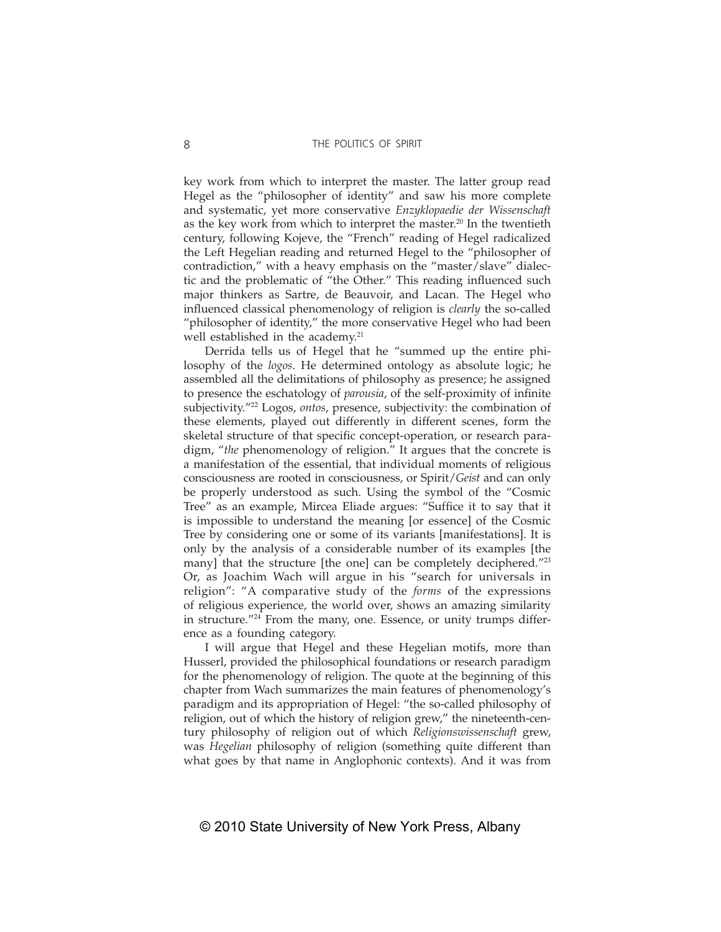key work from which to interpret the master. The latter group read Hegel as the "philosopher of identity" and saw his more complete and systematic, yet more conservative *Enzyklopaedie der Wissenschaft* as the key work from which to interpret the master.<sup>20</sup> In the twentieth century, following Kojeve, the "French" reading of Hegel radicalized the Left Hegelian reading and returned Hegel to the "philosopher of contradiction," with a heavy emphasis on the "master/slave" dialectic and the problematic of "the Other." This reading influenced such major thinkers as Sartre, de Beauvoir, and Lacan. The Hegel who influenced classical phenomenology of religion is *clearly* the so-called "philosopher of identity," the more conservative Hegel who had been well established in the academy.<sup>21</sup>

Derrida tells us of Hegel that he "summed up the entire philosophy of the *logos*. He determined ontology as absolute logic; he assembled all the delimitations of philosophy as presence; he assigned to presence the eschatology of *parousia*, of the self-proximity of infinite subjectivity."22 Logos, *ontos*, presence, subjectivity: the combination of these elements, played out differently in different scenes, form the skeletal structure of that specific concept-operation, or research paradigm, "*the* phenomenology of religion." It argues that the concrete is a manifestation of the essential, that individual moments of religious consciousness are rooted in consciousness, or Spirit/*Geist* and can only be properly understood as such. Using the symbol of the "Cosmic Tree" as an example, Mircea Eliade argues: "Suffice it to say that it is impossible to understand the meaning [or essence] of the Cosmic Tree by considering one or some of its variants [manifestations]. It is only by the analysis of a considerable number of its examples [the many] that the structure [the one] can be completely deciphered."<sup>23</sup> Or, as Joachim Wach will argue in his "search for universals in religion": "A comparative study of the *forms* of the expressions of religious experience, the world over, shows an amazing similarity in structure."24 From the many, one. Essence, or unity trumps difference as a founding category.

I will argue that Hegel and these Hegelian motifs, more than Husserl, provided the philosophical foundations or research paradigm for the phenomenology of religion. The quote at the beginning of this chapter from Wach summarizes the main features of phenomenology's paradigm and its appropriation of Hegel: "the so-called philosophy of religion, out of which the history of religion grew," the nineteenth-century philosophy of religion out of which *Religionswissenschaft* grew, was *Hegelian* philosophy of religion (something quite different than what goes by that name in Anglophonic contexts). And it was from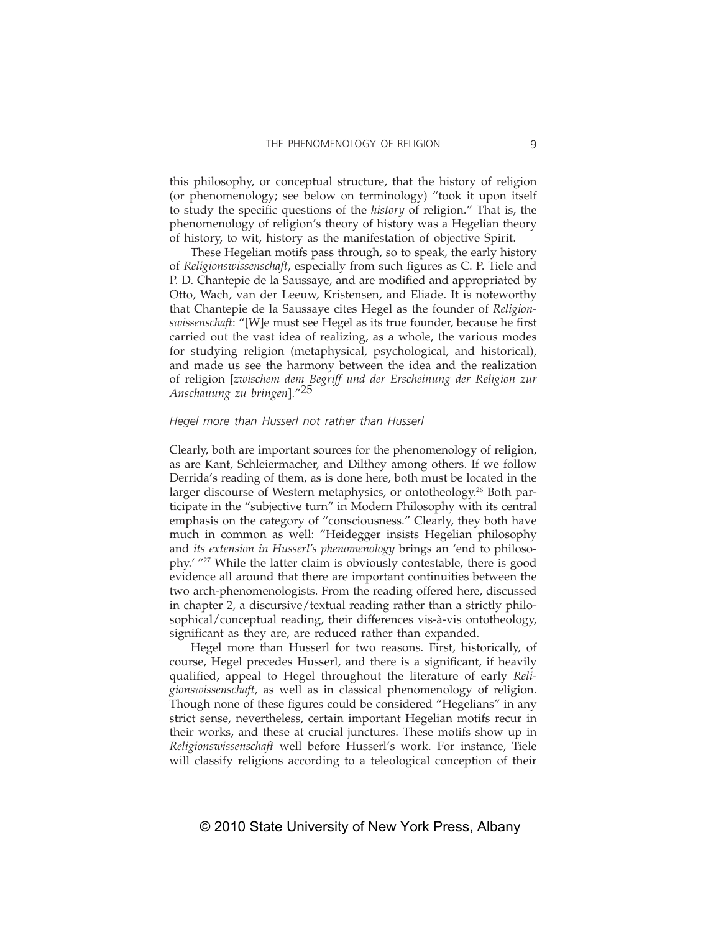this philosophy, or conceptual structure, that the history of religion (or phenomenology; see below on terminology) "took it upon itself to study the specific questions of the *history* of religion." That is, the phenomenology of religion's theory of history was a Hegelian theory of history, to wit, history as the manifestation of objective Spirit.

These Hegelian motifs pass through, so to speak, the early history of *Religionswissenschaft*, especially from such figures as C. P. Tiele and P. D. Chantepie de la Saussaye, and are modified and appropriated by Otto, Wach, van der Leeuw, Kristensen, and Eliade. It is noteworthy that Chantepie de la Saussaye cites Hegel as the founder of *Religionswissenschaft*: "[W]e must see Hegel as its true founder, because he first carried out the vast idea of realizing, as a whole, the various modes for studying religion (metaphysical, psychological, and historical), and made us see the harmony between the idea and the realization of religion [*zwischem dem Begriff und der Erscheinung der Religion zur Anschauung zu bringen*]."25

# *Hegel more than Husserl not rather than Husserl*

Clearly, both are important sources for the phenomenology of religion, as are Kant, Schleiermacher, and Dilthey among others. If we follow Derrida's reading of them, as is done here, both must be located in the larger discourse of Western metaphysics, or ontotheology.<sup>26</sup> Both participate in the "subjective turn" in Modern Philosophy with its central emphasis on the category of "consciousness." Clearly, they both have much in common as well: "Heidegger insists Hegelian philosophy and *its extension in Husserl's phenomenology* brings an 'end to philosophy.' "27 While the latter claim is obviously contestable, there is good evidence all around that there are important continuities between the two arch-phenomenologists. From the reading offered here, discussed in chapter 2, a discursive/textual reading rather than a strictly philosophical/conceptual reading, their differences vis-à-vis ontotheology, significant as they are, are reduced rather than expanded.

Hegel more than Husserl for two reasons. First, historically, of course, Hegel precedes Husserl, and there is a significant, if heavily qualified, appeal to Hegel throughout the literature of early *Religionswissenschaft,* as well as in classical phenomenology of religion. Though none of these figures could be considered "Hegelians" in any strict sense, nevertheless, certain important Hegelian motifs recur in their works, and these at crucial junctures. These motifs show up in *Religionswissenschaft* well before Husserl's work. For instance, Tiele will classify religions according to a teleological conception of their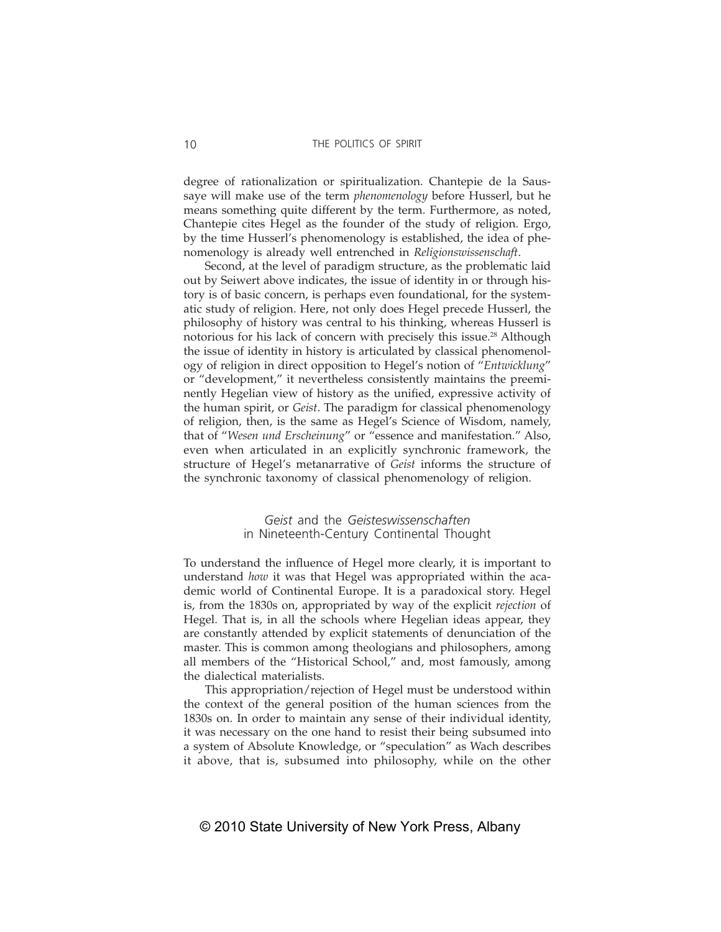degree of rationalization or spiritualization. Chantepie de la Saussaye will make use of the term *phenomenology* before Husserl, but he means something quite different by the term. Furthermore, as noted, Chantepie cites Hegel as the founder of the study of religion. Ergo, by the time Husserl's phenomenology is established, the idea of phenomenology is already well entrenched in *Religionswissenschaft*.

Second, at the level of paradigm structure, as the problematic laid out by Seiwert above indicates, the issue of identity in or through history is of basic concern, is perhaps even foundational, for the systematic study of religion. Here, not only does Hegel precede Husserl, the philosophy of history was central to his thinking, whereas Husserl is notorious for his lack of concern with precisely this issue.<sup>28</sup> Although the issue of identity in history is articulated by classical phenomenology of religion in direct opposition to Hegel's notion of "*Entwicklung*" or "development," it nevertheless consistently maintains the preeminently Hegelian view of history as the unified, expressive activity of the human spirit, or *Geist*. The paradigm for classical phenomenology of religion, then, is the same as Hegel's Science of Wisdom, namely, that of "*Wesen und Erscheinung*" or "essence and manifestation." Also, even when articulated in an explicitly synchronic framework, the structure of Hegel's metanarrative of *Geist* informs the structure of the synchronic taxonomy of classical phenomenology of religion.

> *Geist* and the *Geisteswissenschaften* in Nineteenth-Century Continental Thought

To understand the influence of Hegel more clearly, it is important to understand *how* it was that Hegel was appropriated within the academic world of Continental Europe. It is a paradoxical story. Hegel is, from the 1830s on, appropriated by way of the explicit *rejection* of Hegel. That is, in all the schools where Hegelian ideas appear, they are constantly attended by explicit statements of denunciation of the master. This is common among theologians and philosophers, among all members of the "Historical School," and, most famously, among the dialectical materialists.

This appropriation/rejection of Hegel must be understood within the context of the general position of the human sciences from the 1830s on. In order to maintain any sense of their individual identity, it was necessary on the one hand to resist their being subsumed into a system of Absolute Knowledge, or "speculation" as Wach describes it above, that is, subsumed into philosophy, while on the other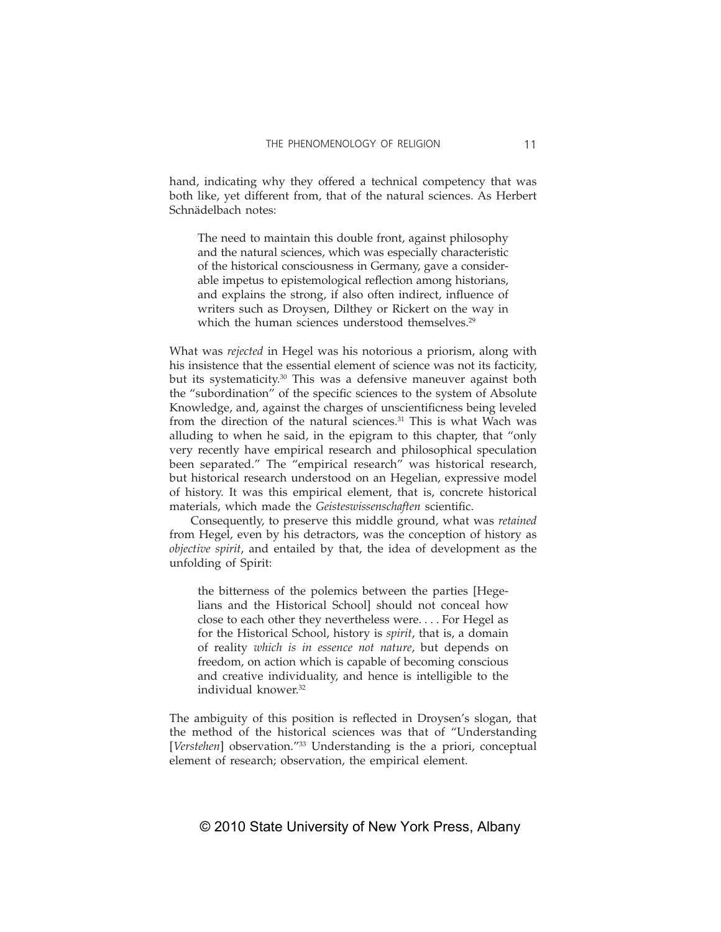hand, indicating why they offered a technical competency that was both like, yet different from, that of the natural sciences. As Herbert Schnädelbach notes:

The need to maintain this double front, against philosophy and the natural sciences, which was especially characteristic of the historical consciousness in Germany, gave a considerable impetus to epistemological reflection among historians, and explains the strong, if also often indirect, influence of writers such as Droysen, Dilthey or Rickert on the way in which the human sciences understood themselves.<sup>29</sup>

What was *rejected* in Hegel was his notorious a priorism, along with his insistence that the essential element of science was not its facticity, but its systematicity.<sup>30</sup> This was a defensive maneuver against both the "subordination" of the specific sciences to the system of Absolute Knowledge, and, against the charges of unscientificness being leveled from the direction of the natural sciences. $31$  This is what Wach was alluding to when he said, in the epigram to this chapter, that "only very recently have empirical research and philosophical speculation been separated." The "empirical research" was historical research, but historical research understood on an Hegelian, expressive model of history. It was this empirical element, that is, concrete historical materials, which made the *Geisteswissenschaften* scientific.

Consequently, to preserve this middle ground, what was *retained* from Hegel, even by his detractors, was the conception of history as *objective spirit*, and entailed by that, the idea of development as the unfolding of Spirit:

the bitterness of the polemics between the parties [Hegelians and the Historical School] should not conceal how close to each other they nevertheless were. . . . For Hegel as for the Historical School, history is *spirit*, that is, a domain of reality *which is in essence not nature*, but depends on freedom, on action which is capable of becoming conscious and creative individuality, and hence is intelligible to the individual knower.<sup>32</sup>

The ambiguity of this position is reflected in Droysen's slogan, that the method of the historical sciences was that of "Understanding [*Verstehen*] observation."<sup>33</sup> Understanding is the a priori, conceptual element of research; observation, the empirical element.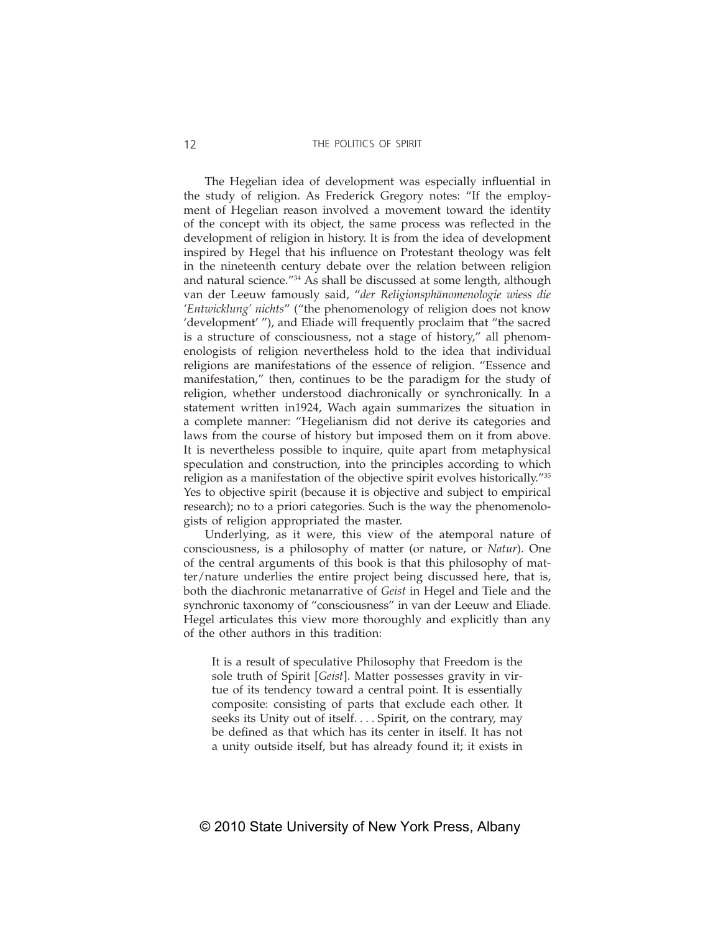The Hegelian idea of development was especially influential in the study of religion. As Frederick Gregory notes: "If the employment of Hegelian reason involved a movement toward the identity of the concept with its object, the same process was reflected in the development of religion in history. It is from the idea of development inspired by Hegel that his influence on Protestant theology was felt in the nineteenth century debate over the relation between religion and natural science."34 As shall be discussed at some length, although van der Leeuw famously said, "*der Religionsphänomenologie wiess die 'Entwicklung' nichts*" ("the phenomenology of religion does not know 'development' "), and Eliade will frequently proclaim that "the sacred is a structure of consciousness, not a stage of history," all phenomenologists of religion nevertheless hold to the idea that individual religions are manifestations of the essence of religion. "Essence and manifestation," then, continues to be the paradigm for the study of religion, whether understood diachronically or synchronically. In a statement written in1924, Wach again summarizes the situation in a complete manner: "Hegelianism did not derive its categories and laws from the course of history but imposed them on it from above. It is nevertheless possible to inquire, quite apart from metaphysical speculation and construction, into the principles according to which religion as a manifestation of the objective spirit evolves historically."35 Yes to objective spirit (because it is objective and subject to empirical research); no to a priori categories. Such is the way the phenomenologists of religion appropriated the master.

Underlying, as it were, this view of the atemporal nature of consciousness, is a philosophy of matter (or nature, or *Natur*). One of the central arguments of this book is that this philosophy of matter/nature underlies the entire project being discussed here, that is, both the diachronic metanarrative of *Geist* in Hegel and Tiele and the synchronic taxonomy of "consciousness" in van der Leeuw and Eliade. Hegel articulates this view more thoroughly and explicitly than any of the other authors in this tradition:

It is a result of speculative Philosophy that Freedom is the sole truth of Spirit [*Geist*]. Matter possesses gravity in virtue of its tendency toward a central point. It is essentially composite: consisting of parts that exclude each other. It seeks its Unity out of itself. . . . Spirit, on the contrary, may be defined as that which has its center in itself. It has not a unity outside itself, but has already found it; it exists in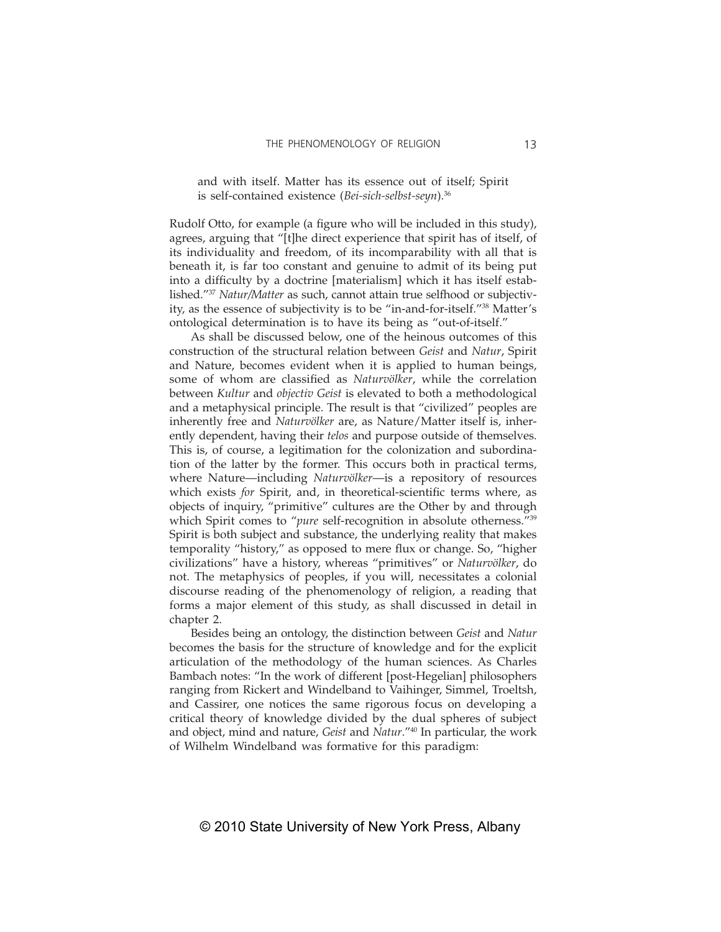and with itself. Matter has its essence out of itself; Spirit is self-contained existence (*Bei-sich-selbst-seyn*).36

Rudolf Otto, for example (a figure who will be included in this study), agrees, arguing that "[t]he direct experience that spirit has of itself, of its individuality and freedom, of its incomparability with all that is beneath it, is far too constant and genuine to admit of its being put into a difficulty by a doctrine [materialism] which it has itself established."37 *Natur/Matter* as such, cannot attain true selfhood or subjectivity, as the essence of subjectivity is to be "in-and-for-itself."38 Matter's ontological determination is to have its being as "out-of-itself."

As shall be discussed below, one of the heinous outcomes of this construction of the structural relation between *Geist* and *Natur*, Spirit and Nature, becomes evident when it is applied to human beings, some of whom are classified as *Naturvölker*, while the correlation between *Kultur* and *objectiv Geist* is elevated to both a methodological and a metaphysical principle. The result is that "civilized" peoples are inherently free and *Naturvölker* are, as Nature/Matter itself is, inherently dependent, having their *telos* and purpose outside of themselves. This is, of course, a legitimation for the colonization and subordination of the latter by the former. This occurs both in practical terms, where Nature—including *Naturvölker*—is a repository of resources which exists *for* Spirit, and, in theoretical-scientific terms where, as objects of inquiry, "primitive" cultures are the Other by and through which Spirit comes to "pure self-recognition in absolute otherness."<sup>39</sup> Spirit is both subject and substance, the underlying reality that makes temporality "history," as opposed to mere flux or change. So, "higher civilizations" have a history, whereas "primitives" or *Naturvölker*, do not. The metaphysics of peoples, if you will, necessitates a colonial discourse reading of the phenomenology of religion, a reading that forms a major element of this study, as shall discussed in detail in chapter 2.

Besides being an ontology, the distinction between *Geist* and *Natur* becomes the basis for the structure of knowledge and for the explicit articulation of the methodology of the human sciences. As Charles Bambach notes: "In the work of different [post-Hegelian] philosophers ranging from Rickert and Windelband to Vaihinger, Simmel, Troeltsh, and Cassirer, one notices the same rigorous focus on developing a critical theory of knowledge divided by the dual spheres of subject and object, mind and nature, *Geist* and *Natur*."40 In particular, the work of Wilhelm Windelband was formative for this paradigm: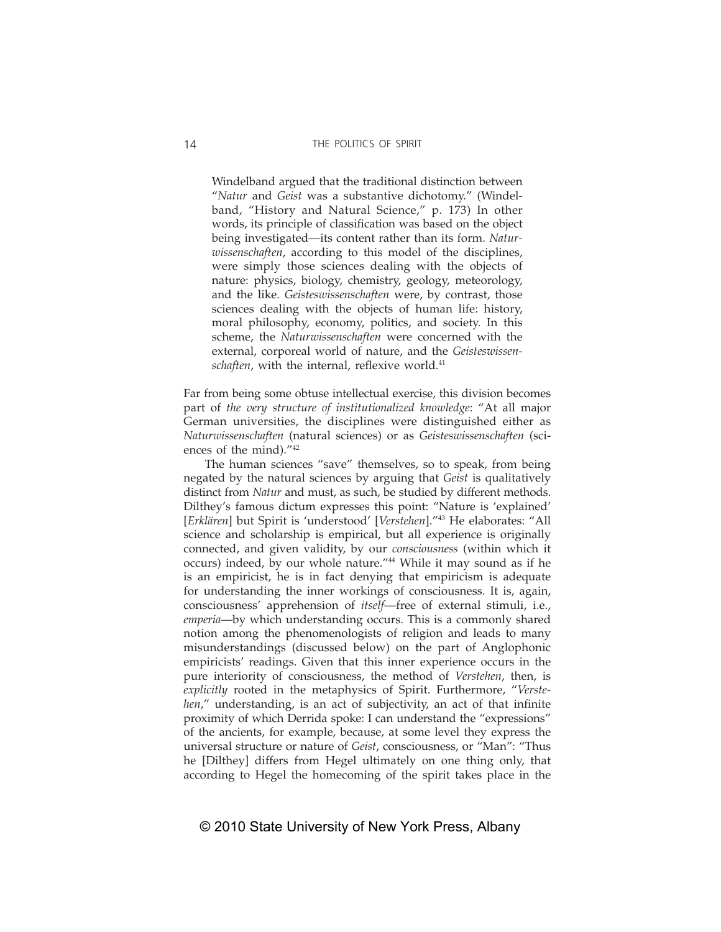Windelband argued that the traditional distinction between "*Natur* and *Geist* was a substantive dichotomy." (Windelband, "History and Natural Science," p. 173) In other words, its principle of classification was based on the object being investigated—its content rather than its form. *Naturwissenschaften*, according to this model of the disciplines, were simply those sciences dealing with the objects of nature: physics, biology, chemistry, geology, meteorology, and the like. *Geisteswissenschaften* were, by contrast, those sciences dealing with the objects of human life: history, moral philosophy, economy, politics, and society. In this scheme, the *Naturwissenschaften* were concerned with the external, corporeal world of nature, and the *Geisteswissenschaften*, with the internal, reflexive world.<sup>41</sup>

Far from being some obtuse intellectual exercise, this division becomes part of *the very structure of institutionalized knowledge*: "At all major German universities, the disciplines were distinguished either as *Naturwissenschaften* (natural sciences) or as *Geisteswissenschaften* (sciences of the mind)."42

The human sciences "save" themselves, so to speak, from being negated by the natural sciences by arguing that *Geist* is qualitatively distinct from *Natur* and must, as such, be studied by different methods. Dilthey's famous dictum expresses this point: "Nature is 'explained' [*Erklären*] but Spirit is 'understood' [*Verstehen*]."43 He elaborates: "All science and scholarship is empirical, but all experience is originally connected, and given validity, by our *consciousness* (within which it occurs) indeed, by our whole nature."44 While it may sound as if he is an empiricist, he is in fact denying that empiricism is adequate for understanding the inner workings of consciousness. It is, again, consciousness' apprehension of *itself*—free of external stimuli, i.e., *emperia*—by which understanding occurs. This is a commonly shared notion among the phenomenologists of religion and leads to many misunderstandings (discussed below) on the part of Anglophonic empiricists' readings. Given that this inner experience occurs in the pure interiority of consciousness, the method of *Verstehen*, then, is *explicitly* rooted in the metaphysics of Spirit. Furthermore, "*Verstehen*," understanding, is an act of subjectivity, an act of that infinite proximity of which Derrida spoke: I can understand the "expressions" of the ancients, for example, because, at some level they express the universal structure or nature of *Geist*, consciousness, or "Man": "Thus he [Dilthey] differs from Hegel ultimately on one thing only, that according to Hegel the homecoming of the spirit takes place in the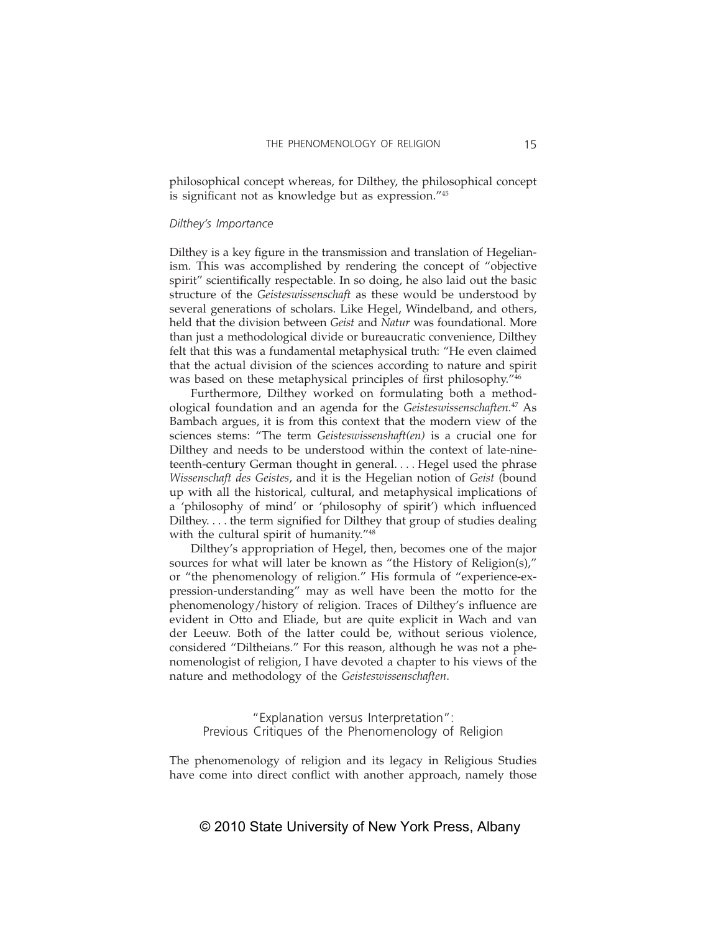philosophical concept whereas, for Dilthey, the philosophical concept is significant not as knowledge but as expression."<sup>45</sup>

#### *Dilthey's Importance*

Dilthey is a key figure in the transmission and translation of Hegelianism. This was accomplished by rendering the concept of "objective spirit" scientifically respectable. In so doing, he also laid out the basic structure of the *Geisteswissenschaft* as these would be understood by several generations of scholars. Like Hegel, Windelband, and others, held that the division between *Geist* and *Natur* was foundational. More than just a methodological divide or bureaucratic convenience, Dilthey felt that this was a fundamental metaphysical truth: "He even claimed that the actual division of the sciences according to nature and spirit was based on these metaphysical principles of first philosophy.<sup>746</sup>

Furthermore, Dilthey worked on formulating both a methodological foundation and an agenda for the *Geisteswissenschaften.*47 As Bambach argues, it is from this context that the modern view of the sciences stems: "The term *Geisteswissenshaft(en)* is a crucial one for Dilthey and needs to be understood within the context of late-nineteenth-century German thought in general. . . . Hegel used the phrase *Wissenschaft des Geistes*, and it is the Hegelian notion of *Geist* (bound up with all the historical, cultural, and metaphysical implications of a 'philosophy of mind' or 'philosophy of spirit') which influenced Dilthey.... the term signified for Dilthey that group of studies dealing with the cultural spirit of humanity."<sup>48</sup>

Dilthey's appropriation of Hegel, then, becomes one of the major sources for what will later be known as "the History of Religion(s)," or "the phenomenology of religion." His formula of "experience-expression-understanding" may as well have been the motto for the phenomenology/history of religion. Traces of Dilthey's influence are evident in Otto and Eliade, but are quite explicit in Wach and van der Leeuw. Both of the latter could be, without serious violence, considered "Diltheians." For this reason, although he was not a phenomenologist of religion, I have devoted a chapter to his views of the nature and methodology of the *Geisteswissenschaften*.

"Explanation versus Interpretation": Previous Critiques of the Phenomenology of Religion

The phenomenology of religion and its legacy in Religious Studies have come into direct conflict with another approach, namely those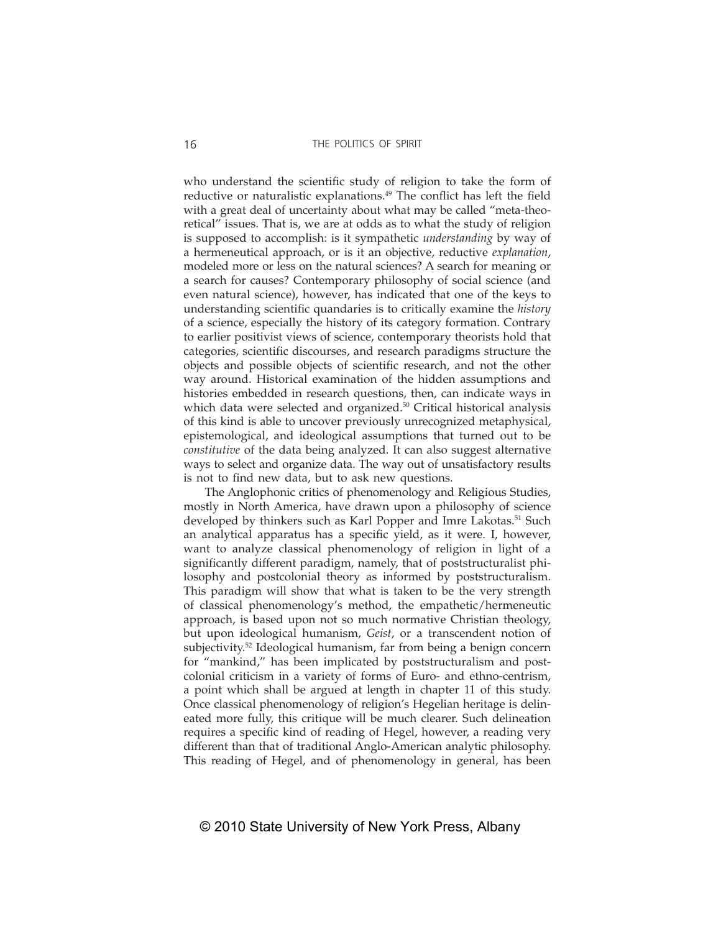who understand the scientific study of religion to take the form of reductive or naturalistic explanations.<sup>49</sup> The conflict has left the field with a great deal of uncertainty about what may be called "meta-theoretical" issues. That is, we are at odds as to what the study of religion is supposed to accomplish: is it sympathetic *understanding* by way of a hermeneutical approach, or is it an objective, reductive *explanation*, modeled more or less on the natural sciences? A search for meaning or a search for causes? Contemporary philosophy of social science (and even natural science), however, has indicated that one of the keys to understanding scientific quandaries is to critically examine the *history* of a science, especially the history of its category formation. Contrary to earlier positivist views of science, contemporary theorists hold that categories, scientific discourses, and research paradigms structure the objects and possible objects of scientific research, and not the other way around. Historical examination of the hidden assumptions and histories embedded in research questions, then, can indicate ways in which data were selected and organized.<sup>50</sup> Critical historical analysis of this kind is able to uncover previously unrecognized metaphysical, epistemological, and ideological assumptions that turned out to be *constitutive* of the data being analyzed. It can also suggest alternative ways to select and organize data. The way out of unsatisfactory results is not to find new data, but to ask new questions.

The Anglophonic critics of phenomenology and Religious Studies, mostly in North America, have drawn upon a philosophy of science developed by thinkers such as Karl Popper and Imre Lakotas.<sup>51</sup> Such an analytical apparatus has a specific yield, as it were. I, however, want to analyze classical phenomenology of religion in light of a significantly different paradigm, namely, that of poststructuralist philosophy and postcolonial theory as informed by poststructuralism. This paradigm will show that what is taken to be the very strength of classical phenomenology's method, the empathetic/hermeneutic approach, is based upon not so much normative Christian theology, but upon ideological humanism, *Geist*, or a transcendent notion of subjectivity.52 Ideological humanism, far from being a benign concern for "mankind," has been implicated by poststructuralism and postcolonial criticism in a variety of forms of Euro- and ethno-centrism, a point which shall be argued at length in chapter 11 of this study. Once classical phenomenology of religion's Hegelian heritage is delineated more fully, this critique will be much clearer. Such delineation requires a specific kind of reading of Hegel, however, a reading very different than that of traditional Anglo-American analytic philosophy. This reading of Hegel, and of phenomenology in general, has been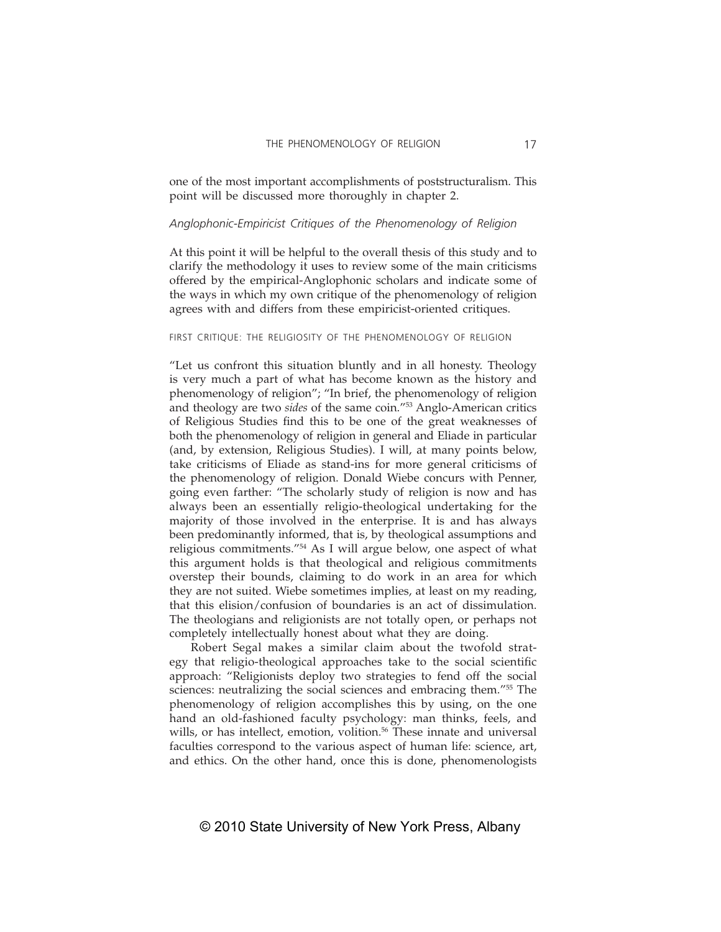one of the most important accomplishments of poststructuralism. This point will be discussed more thoroughly in chapter 2.

# *Anglophonic-Empiricist Critiques of the Phenomenology of Religion*

At this point it will be helpful to the overall thesis of this study and to clarify the methodology it uses to review some of the main criticisms offered by the empirical-Anglophonic scholars and indicate some of the ways in which my own critique of the phenomenology of religion agrees with and differs from these empiricist-oriented critiques.

# FIRST CRITIQUE: THE RELIGIOSITY OF THE PHENOMENOLOGY OF RELIGION

"Let us confront this situation bluntly and in all honesty. Theology is very much a part of what has become known as the history and phenomenology of religion"; "In brief, the phenomenology of religion and theology are two *sides* of the same coin."53 Anglo-American critics of Religious Studies find this to be one of the great weaknesses of both the phenomenology of religion in general and Eliade in particular (and, by extension, Religious Studies). I will, at many points below, take criticisms of Eliade as stand-ins for more general criticisms of the phenomenology of religion. Donald Wiebe concurs with Penner, going even farther: "The scholarly study of religion is now and has always been an essentially religio-theological undertaking for the majority of those involved in the enterprise. It is and has always been predominantly informed, that is, by theological assumptions and religious commitments."54 As I will argue below, one aspect of what this argument holds is that theological and religious commitments overstep their bounds, claiming to do work in an area for which they are not suited. Wiebe sometimes implies, at least on my reading, that this elision/confusion of boundaries is an act of dissimulation. The theologians and religionists are not totally open, or perhaps not completely intellectually honest about what they are doing.

Robert Segal makes a similar claim about the twofold strategy that religio-theological approaches take to the social scientific approach: "Religionists deploy two strategies to fend off the social sciences: neutralizing the social sciences and embracing them."<sup>55</sup> The phenomenology of religion accomplishes this by using, on the one hand an old-fashioned faculty psychology: man thinks, feels, and wills, or has intellect, emotion, volition.<sup>56</sup> These innate and universal faculties correspond to the various aspect of human life: science, art, and ethics. On the other hand, once this is done, phenomenologists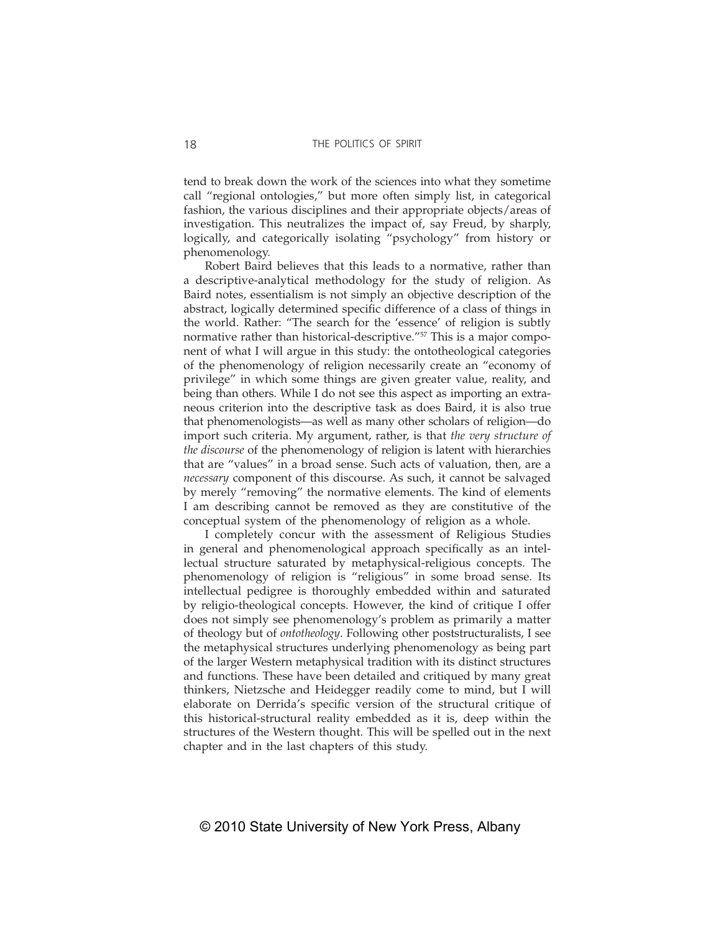tend to break down the work of the sciences into what they sometime call "regional ontologies," but more often simply list, in categorical fashion, the various disciplines and their appropriate objects/areas of investigation. This neutralizes the impact of, say Freud, by sharply, logically, and categorically isolating "psychology" from history or phenomenology.

Robert Baird believes that this leads to a normative, rather than a descriptive-analytical methodology for the study of religion. As Baird notes, essentialism is not simply an objective description of the abstract, logically determined specific difference of a class of things in the world. Rather: "The search for the 'essence' of religion is subtly normative rather than historical-descriptive."57 This is a major component of what I will argue in this study: the ontotheological categories of the phenomenology of religion necessarily create an "economy of privilege" in which some things are given greater value, reality, and being than others. While I do not see this aspect as importing an extraneous criterion into the descriptive task as does Baird, it is also true that phenomenologists—as well as many other scholars of religion—do import such criteria. My argument, rather, is that *the very structure of the discourse* of the phenomenology of religion is latent with hierarchies that are "values" in a broad sense. Such acts of valuation, then, are a *necessary* component of this discourse. As such, it cannot be salvaged by merely "removing" the normative elements. The kind of elements I am describing cannot be removed as they are constitutive of the conceptual system of the phenomenology of religion as a whole.

I completely concur with the assessment of Religious Studies in general and phenomenological approach specifically as an intellectual structure saturated by metaphysical-religious concepts. The phenomenology of religion is "religious" in some broad sense. Its intellectual pedigree is thoroughly embedded within and saturated by religio-theological concepts. However, the kind of critique I offer does not simply see phenomenology's problem as primarily a matter of theology but of *ontotheology*. Following other poststructuralists, I see the metaphysical structures underlying phenomenology as being part of the larger Western metaphysical tradition with its distinct structures and functions. These have been detailed and critiqued by many great thinkers, Nietzsche and Heidegger readily come to mind, but I will elaborate on Derrida's specific version of the structural critique of this historical-structural reality embedded as it is, deep within the structures of the Western thought. This will be spelled out in the next chapter and in the last chapters of this study.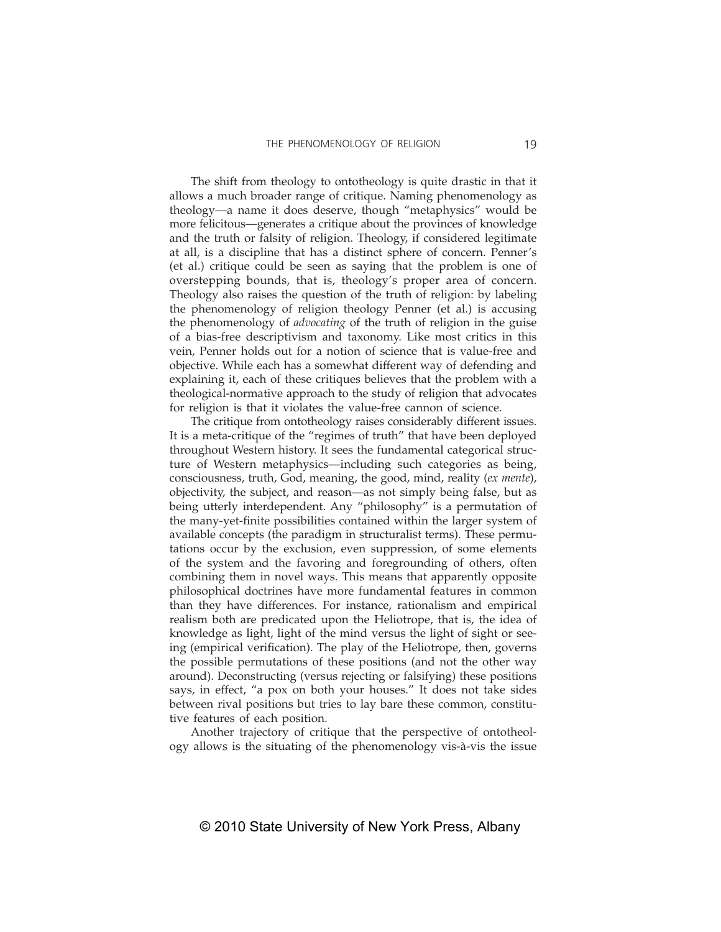The shift from theology to ontotheology is quite drastic in that it allows a much broader range of critique. Naming phenomenology as theology—a name it does deserve, though "metaphysics" would be more felicitous—generates a critique about the provinces of knowledge and the truth or falsity of religion. Theology, if considered legitimate at all, is a discipline that has a distinct sphere of concern. Penner's (et al.) critique could be seen as saying that the problem is one of overstepping bounds, that is, theology's proper area of concern. Theology also raises the question of the truth of religion: by labeling the phenomenology of religion theology Penner (et al.) is accusing the phenomenology of *advocating* of the truth of religion in the guise of a bias-free descriptivism and taxonomy. Like most critics in this vein, Penner holds out for a notion of science that is value-free and objective. While each has a somewhat different way of defending and explaining it, each of these critiques believes that the problem with a theological-normative approach to the study of religion that advocates for religion is that it violates the value-free cannon of science.

The critique from ontotheology raises considerably different issues. It is a meta-critique of the "regimes of truth" that have been deployed throughout Western history. It sees the fundamental categorical structure of Western metaphysics—including such categories as being, consciousness, truth, God, meaning, the good, mind, reality (*ex mente*), objectivity, the subject, and reason—as not simply being false, but as being utterly interdependent. Any "philosophy" is a permutation of the many-yet-finite possibilities contained within the larger system of available concepts (the paradigm in structuralist terms). These permutations occur by the exclusion, even suppression, of some elements of the system and the favoring and foregrounding of others, often combining them in novel ways. This means that apparently opposite philosophical doctrines have more fundamental features in common than they have differences. For instance, rationalism and empirical realism both are predicated upon the Heliotrope, that is, the idea of knowledge as light, light of the mind versus the light of sight or seeing (empirical verification). The play of the Heliotrope, then, governs the possible permutations of these positions (and not the other way around). Deconstructing (versus rejecting or falsifying) these positions says, in effect, "a pox on both your houses." It does not take sides between rival positions but tries to lay bare these common, constitutive features of each position.

Another trajectory of critique that the perspective of ontotheology allows is the situating of the phenomenology vis-à-vis the issue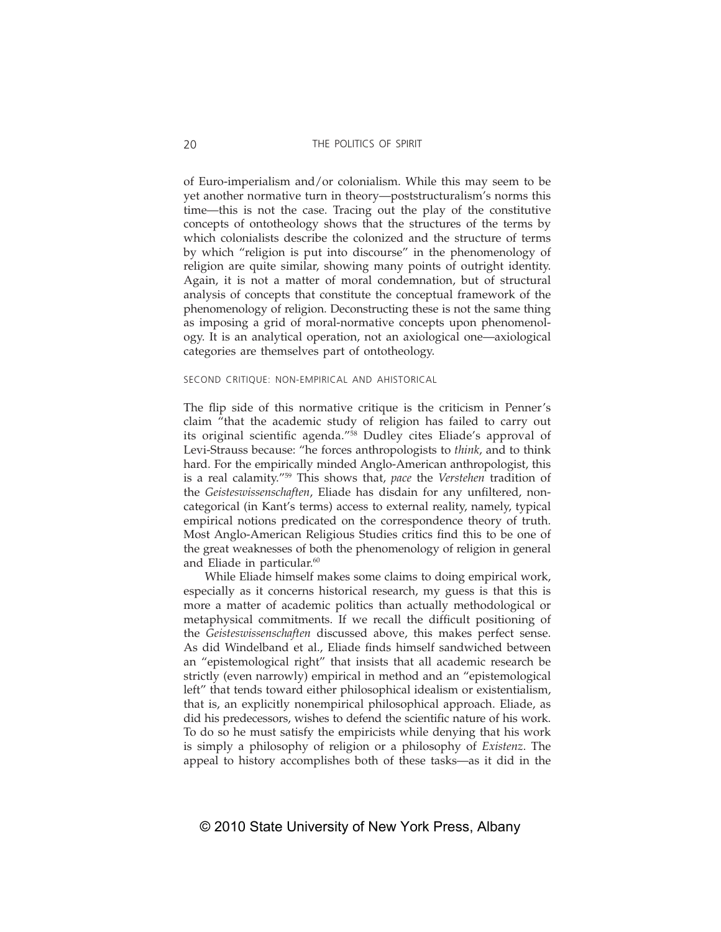of Euro-imperialism and/or colonialism. While this may seem to be yet another normative turn in theory—poststructuralism's norms this time—this is not the case. Tracing out the play of the constitutive concepts of ontotheology shows that the structures of the terms by which colonialists describe the colonized and the structure of terms by which "religion is put into discourse" in the phenomenology of religion are quite similar, showing many points of outright identity. Again, it is not a matter of moral condemnation, but of structural analysis of concepts that constitute the conceptual framework of the phenomenology of religion. Deconstructing these is not the same thing as imposing a grid of moral-normative concepts upon phenomenology. It is an analytical operation, not an axiological one—axiological categories are themselves part of ontotheology.

#### SECOND CRITIQUE: NON-EMPIRICAL AND AHISTORICAL

The flip side of this normative critique is the criticism in Penner's claim "that the academic study of religion has failed to carry out its original scientific agenda."<sup>58</sup> Dudley cites Eliade's approval of Levi-Strauss because: "he forces anthropologists to *think*, and to think hard. For the empirically minded Anglo-American anthropologist, this is a real calamity."59 This shows that, *pace* the *Verstehen* tradition of the *Geisteswissenschaften*, Eliade has disdain for any unfiltered, noncategorical (in Kant's terms) access to external reality, namely, typical empirical notions predicated on the correspondence theory of truth. Most Anglo-American Religious Studies critics find this to be one of the great weaknesses of both the phenomenology of religion in general and Eliade in particular.<sup>60</sup>

While Eliade himself makes some claims to doing empirical work, especially as it concerns historical research, my guess is that this is more a matter of academic politics than actually methodological or metaphysical commitments. If we recall the difficult positioning of the *Geisteswissenschaften* discussed above, this makes perfect sense. As did Windelband et al., Eliade finds himself sandwiched between an "epistemological right" that insists that all academic research be strictly (even narrowly) empirical in method and an "epistemological left" that tends toward either philosophical idealism or existentialism, that is, an explicitly nonempirical philosophical approach. Eliade, as did his predecessors, wishes to defend the scientific nature of his work. To do so he must satisfy the empiricists while denying that his work is simply a philosophy of religion or a philosophy of *Existenz*. The appeal to history accomplishes both of these tasks—as it did in the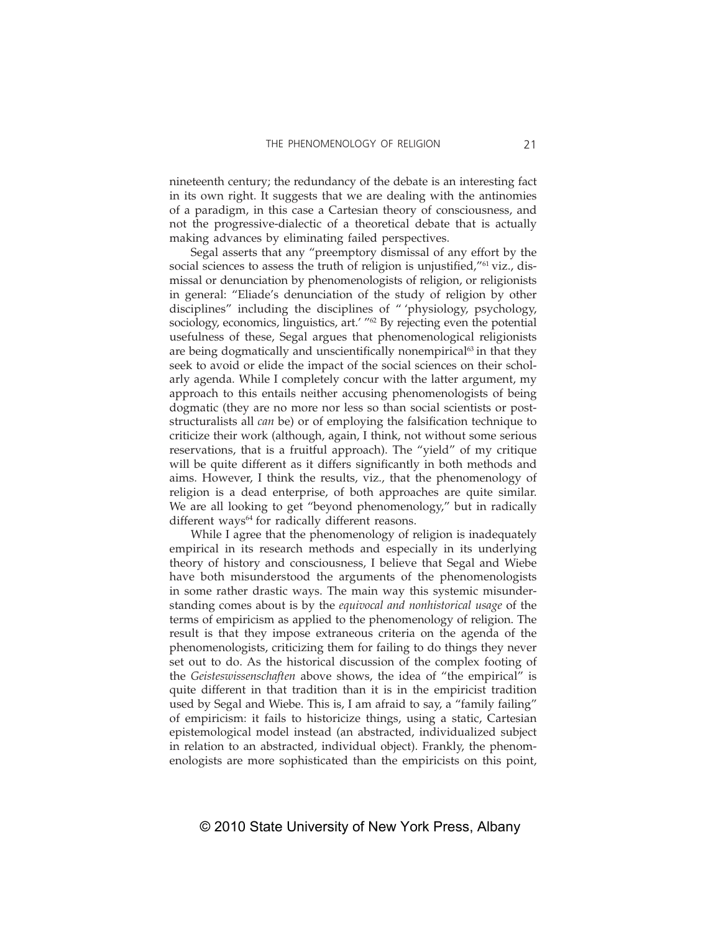nineteenth century; the redundancy of the debate is an interesting fact in its own right. It suggests that we are dealing with the antinomies of a paradigm, in this case a Cartesian theory of consciousness, and not the progressive-dialectic of a theoretical debate that is actually making advances by eliminating failed perspectives.

Segal asserts that any "preemptory dismissal of any effort by the social sciences to assess the truth of religion is unjustified,"<sup>61</sup> viz., dismissal or denunciation by phenomenologists of religion, or religionists in general: "Eliade's denunciation of the study of religion by other disciplines" including the disciplines of " 'physiology, psychology, sociology, economics, linguistics, art.' "<sup>62</sup> By rejecting even the potential usefulness of these, Segal argues that phenomenological religionists are being dogmatically and unscientifically nonempirical<sup>63</sup> in that they seek to avoid or elide the impact of the social sciences on their scholarly agenda. While I completely concur with the latter argument, my approach to this entails neither accusing phenomenologists of being dogmatic (they are no more nor less so than social scientists or poststructuralists all *can* be) or of employing the falsification technique to criticize their work (although, again, I think, not without some serious reservations, that is a fruitful approach). The "yield" of my critique will be quite different as it differs significantly in both methods and aims. However, I think the results, viz., that the phenomenology of religion is a dead enterprise, of both approaches are quite similar. We are all looking to get "beyond phenomenology," but in radically different ways $64$  for radically different reasons.

While I agree that the phenomenology of religion is inadequately empirical in its research methods and especially in its underlying theory of history and consciousness, I believe that Segal and Wiebe have both misunderstood the arguments of the phenomenologists in some rather drastic ways. The main way this systemic misunderstanding comes about is by the *equivocal and nonhistorical usage* of the terms of empiricism as applied to the phenomenology of religion. The result is that they impose extraneous criteria on the agenda of the phenomenologists, criticizing them for failing to do things they never set out to do. As the historical discussion of the complex footing of the *Geisteswissenschaften* above shows, the idea of "the empirical" is quite different in that tradition than it is in the empiricist tradition used by Segal and Wiebe. This is, I am afraid to say, a "family failing" of empiricism: it fails to historicize things, using a static, Cartesian epistemological model instead (an abstracted, individualized subject in relation to an abstracted, individual object). Frankly, the phenomenologists are more sophisticated than the empiricists on this point,